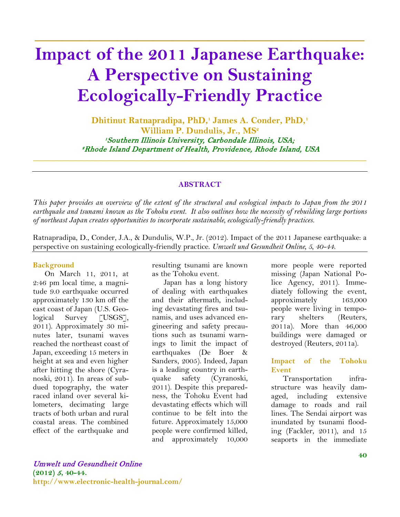# **Impact of the 2011 Japanese Earthquake: A Perspective on Sustaining Ecologically-Friendly Practice**

**\_\_\_\_\_\_\_\_\_\_\_\_\_\_\_\_\_\_\_\_\_\_\_\_\_\_\_\_\_\_\_\_\_\_\_\_**

**Dhitinut Ratnapradipa, PhD,1 James A. Conder, PhD, 1** William P. Dundulis, Jr., MS<sup>2</sup> 1Southern Illinois University, Carbondale Illinois, USA; 2Rhode Island Department of Health, Providence, Rhode Island, USA \_\_\_\_\_\_\_\_\_\_\_\_\_\_\_\_\_\_\_\_\_\_\_\_\_\_\_\_\_\_\_\_\_\_\_\_\_\_\_\_\_\_\_\_\_\_\_\_\_\_\_\_\_\_\_\_\_\_\_\_\_\_\_\_\_\_\_\_\_\_\_\_\_\_\_\_\_\_\_\_\_\_\_\_\_

#### **ABSTRACT**

*This paper provides an overview of the extent of the structural and ecological impacts to Japan from the 2011 earthquake and tsunami known as the Tohoku event. It also outlines how the necessity of rebuilding large portions of northeast Japan creates opportunities to incorporate sustainable, ecologically-friendly practices.*

Ratnapradipa, D., Conder, J.A., & Dundulis, W.P., Jr. (2012). Impact of the 2011 Japanese earthquake: a perspective on sustaining ecologically-friendly practice. *Umwelt und Gesundheit Online, 5, 40-44.*

#### **Background**

On March 11, 2011, at 2:46 pm local time, a magnitude 9.0 earthquake occurred approximately 130 km off the east coast of Japan (U.S. Geological Survey [USGS], 2011). Approximately 30 minutes later, tsunami waves reached the northeast coast of Japan, exceeding 15 meters in height at sea and even higher after hitting the shore (Cyranoski, 2011). In areas of subdued topography, the water raced inland over several kilometers, decimating large tracts of both urban and rural coastal areas. The combined effect of the earthquake and

resulting tsunami are known as the Tohoku event.

Japan has a long history of dealing with earthquakes and their aftermath, including devastating fires and tsunamis, and uses advanced engineering and safety precautions such as tsunami warnings to limit the impact of earthquakes (De Boer & Sanders, 2005). Indeed, Japan is a leading country in earthquake safety (Cyranoski, 2011). Despite this preparedness, the Tohoku Event had devastating effects which will continue to be felt into the future. Approximately 15,000 people were confirmed killed, and approximately 10,000

more people were reported missing (Japan National Police Agency, 2011). Immediately following the event, approximately 163,000 people were living in temporary shelters (Reuters, 2011a). More than 46,000 buildings were damaged or destroyed (Reuters, 2011a).

#### **Impact of the Tohoku Event**

Transportation infrastructure was heavily damaged, including extensive damage to roads and rail lines. The Sendai airport was inundated by tsunami flooding (Fackler, 2011), and 15 seaports in the immediate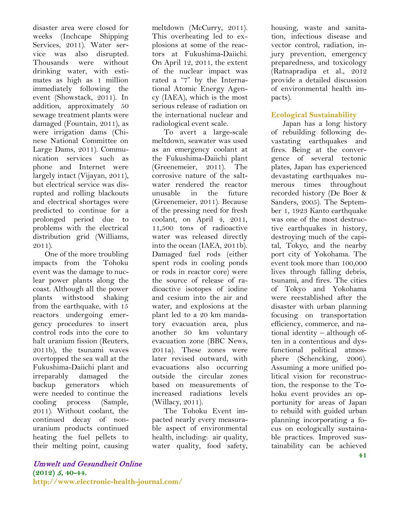disaster area were closed for weeks (Inchcape Shipping Services, 2011). Water service was also disrupted. Thousands were without drinking water, with estimates as high as 1 million immediately following the event (Showstack, 2011). In addition, approximately 50 sewage treatment plants were damaged (Fountain, 2011), as were irrigation dams (Chinese National Committee on Large Dams, 2011). Communication services such as phone and Internet were largely intact (Vijayan, 2011), but electrical service was disrupted and rolling blackouts and electrical shortages were predicted to continue for a prolonged period due to problems with the electrical distribution grid (Williams, 2011).

One of the more troubling impacts from the Tohoku event was the damage to nuclear power plants along the coast. Although all the power plants withstood shaking from the earthquake, with 15 reactors undergoing emergency procedures to insert control rods into the core to halt uranium fission (Reuters, 2011b), the tsunami waves overtopped the sea wall at the Fukushima-Daiichi plant and irreparably damaged the backup generators which were needed to continue the cooling process (Sample, 2011). Without coolant, the continued decay of nonuranium products continued heating the fuel pellets to their melting point, causing

meltdown (McCurry, 2011). This overheating led to explosions at some of the reactors at Fukushima-Daiichi. On April 12, 2011, the extent of the nuclear impact was rated a "7" by the International Atomic Energy Agency (IAEA), which is the most serious release of radiation on the international nuclear and radiological event scale.

To avert a large-scale meltdown, seawater was used as an emergency coolant at the Fukushima-Daiichi plant (Greenemeier, 2011). The corrosive nature of the saltwater rendered the reactor unusable in the future (Greenemeier, 2011). Because of the pressing need for fresh coolant, on April 4, 2011, 11,500 tons of radioactive water was released directly into the ocean (IAEA, 2011b). Damaged fuel rods (either spent rods in cooling ponds or rods in reactor core) were the source of release of radioactive isotopes of iodine and cesium into the air and water, and explosions at the plant led to a 20 km mandatory evacuation area, plus another 30 km voluntary evacuation zone (BBC News, 2011a). These zones were later revised outward, with evacuations also occurring outside the circular zones based on measurements of increased radiations levels (Willacy, 2011).

The Tohoku Event impacted nearly every measurable aspect of environmental health, including: air quality, water quality, food safety,

housing, waste and sanitation, infectious disease and vector control, radiation, injury prevention, emergency preparedness, and toxicology (Ratnapradipa et al., 2012 provide a detailed discussion of environmental health impacts).

# **Ecological Sustainability**

Japan has a long history of rebuilding following devastating earthquakes and fires. Being at the convergence of several tectonic plates, Japan has experienced devastating earthquakes numerous times throughout recorded history (De Boer & Sanders, 2005). The September 1, 1923 Kanto earthquake was one of the most destructive earthquakes in history, destroying much of the capital, Tokyo, and the nearby port city of Yokohama. The event took more than 100,000 lives through falling debris, tsunami, and fires. The cities of Tokyo and Yokohama were reestablished after the disaster with urban planning focusing on transportation efficiency, commerce, and national identity – although often in a contentious and dysfunctional political atmosphere (Schencking, 2006). Assuming a more unified political vision for reconstruction, the response to the Tohoku event provides an opportunity for areas of Japan to rebuild with guided urban planning incorporating a focus on ecologically sustainable practices. Improved sustainability can be achieved

#### Umwelt und Gesundheit Online **(2012)** <sup>5</sup>**, 40-44.**

**http://www.electronic-health-journal.com/**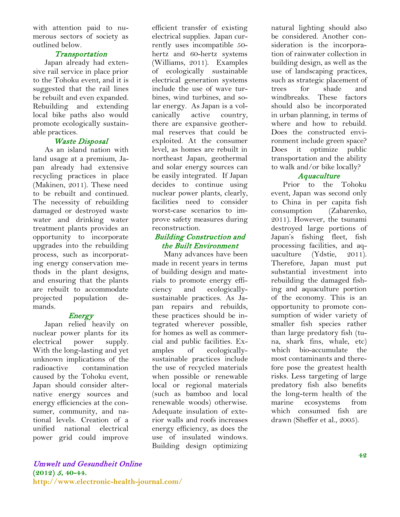with attention paid to numerous sectors of society as outlined below.

# **Transportation**

Japan already had extensive rail service in place prior to the Tohoku event, and it is suggested that the rail lines be rebuilt and even expanded. Rebuilding and extending local bike paths also would promote ecologically sustainable practices.

# Waste Disposal

As an island nation with land usage at a premium, Japan already had extensive recycling practices in place (Makinen, 2011). These need to be rebuilt and continued. The necessity of rebuilding damaged or destroyed waste water and drinking water treatment plants provides an opportunity to incorporate upgrades into the rebuilding process, such as incorporating energy conservation methods in the plant designs, and ensuring that the plants are rebuilt to accommodate projected population demands.

# **Energy**

Japan relied heavily on nuclear power plants for its electrical power supply. With the long-lasting and yet unknown implications of the radioactive contamination caused by the Tohoku event, Japan should consider alternative energy sources and energy efficiencies at the consumer, community, and national levels. Creation of a unified national electrical power grid could improve efficient transfer of existing electrical supplies. Japan currently uses incompatible 50 hertz and 60-hertz systems (Williams, 2011). Examples of ecologically sustainable electrical generation systems include the use of wave turbines, wind turbines, and solar energy. As Japan is a volcanically active country, there are expansive geothermal reserves that could be exploited. At the consumer level, as homes are rebuilt in northeast Japan, geothermal and solar energy sources can be easily integrated. If Japan decides to continue using nuclear power plants, clearly, facilities need to consider worst-case scenarios to improve safety measures during reconstruction.

# Building Construction and the Built Environment

Many advances have been made in recent years in terms of building design and materials to promote energy efficiency and ecologicallysustainable practices. As Japan repairs and rebuilds, these practices should be integrated wherever possible, for homes as well as commercial and public facilities. Examples of ecologicallysustainable practices include the use of recycled materials when possible or renewable local or regional materials (such as bamboo and local renewable woods) otherwise. Adequate insulation of exterior walls and roofs increases energy efficiency, as does the use of insulated windows. Building design optimizing

natural lighting should also be considered. Another consideration is the incorporation of rainwater collection in building design, as well as the use of landscaping practices, such as strategic placement of trees for shade and windbreaks. These factors should also be incorporated in urban planning, in terms of where and how to rebuild. Does the constructed environment include green space? Does it optimize public transportation and the ability to walk and/or bike locally?

# **Aquaculture**

Prior to the Tohoku event, Japan was second only to China in per capita fish consumption (Zabarenko, 2011). However, the tsunami destroyed large portions of Japan's fishing fleet, fish processing facilities, and aquaculture (Ydstie, 2011). Therefore, Japan must put substantial investment into rebuilding the damaged fishing and aquaculture portion of the economy. This is an opportunity to promote consumption of wider variety of smaller fish species rather than large predatory fish (tuna, shark fins, whale, etc) which bio-accumulate the most contaminants and therefore pose the greatest health risks. Less targeting of large predatory fish also benefits the long-term health of the marine ecosystems from which consumed fish are drawn (Sheffer et al., 2005).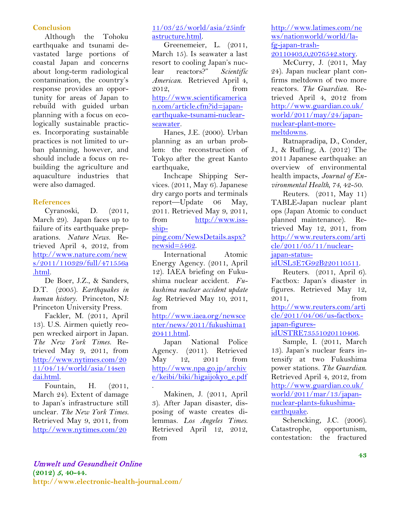# **Conclusion**

Although the Tohoku earthquake and tsunami devastated large portions of coastal Japan and concerns about long-term radiological contamination, the country's response provides an opportunity for areas of Japan to rebuild with guided urban planning with a focus on ecologically sustainable practices. Incorporating sustainable practices is not limited to urban planning, however, and should include a focus on rebuilding the agriculture and aquaculture industries that were also damaged.

#### **References**

Cyranoski, D. (2011, March 29). Japan faces up to failure of its earthquake preparations. *Nature News.* Retrieved April 4, 2012, from [http://www.nature.com/new](http://www.nature.com/news/2011/110329/full/471556a.html) [s/2011/110329/full/471556a](http://www.nature.com/news/2011/110329/full/471556a.html) [.html.](http://www.nature.com/news/2011/110329/full/471556a.html)

De Boer, J.Z., & Sanders, D.T. (2005). *Earthquakes in human history.* Princeton, NJ: Princeton University Press.

Fackler, M. (2011, April 13). U.S. Airmen quietly reopen wrecked airport in Japan. *The New York Times.* Retrieved May 9, 2011, from [http://www.nytimes.com/20](http://www.nytimes.com/2011/04/14/world/asia/14sendai.html) [11/04/14/world/asia/14sen](http://www.nytimes.com/2011/04/14/world/asia/14sendai.html) [dai.html.](http://www.nytimes.com/2011/04/14/world/asia/14sendai.html)

Fountain, H. (2011, March 24). Extent of damage to Japan's infrastructure still unclear. *The New York Times.*  Retrieved May 9, 2011, from [http://www.nytimes.com/20](http://www.nytimes.com/2011/03/25/world/asia/25infrastructure.html)

# [11/03/25/world/asia/25infr](http://www.nytimes.com/2011/03/25/world/asia/25infrastructure.html) [astructure.html.](http://www.nytimes.com/2011/03/25/world/asia/25infrastructure.html)

Greenemeier, L. (2011, March 15). Is seawater a last resort to cooling Japan's nuclear reactors?" *Scientific American*. Retrieved April 4, 2012, from [http://www.scientificamerica](http://www.scientificamerican.com/article.cfm?id=japan-earthquake-tsunami-nuclear-seawater) [n.com/article.cfm?id=japan](http://www.scientificamerican.com/article.cfm?id=japan-earthquake-tsunami-nuclear-seawater)[earthquake-tsunami-nuclear](http://www.scientificamerican.com/article.cfm?id=japan-earthquake-tsunami-nuclear-seawater)[seawater.](http://www.scientificamerican.com/article.cfm?id=japan-earthquake-tsunami-nuclear-seawater)

Hanes, J.E. (2000). Urban planning as an urban problem: the reconstruction of Tokyo after the great Kanto earthquake,

Inchcape Shipping Services. (2011, May 6). Japanese dry cargo ports and terminals report—Update 06 May, 2011. Retrieved May 9, 2011, from [http://www.iss](http://www.iss-shipping.com/NewsDetails.aspx?newsid=5462)[ship-](http://www.iss-shipping.com/NewsDetails.aspx?newsid=5462)

# [ping.com/NewsDetails.aspx?](http://www.iss-shipping.com/NewsDetails.aspx?newsid=5462) [newsid=5462.](http://www.iss-shipping.com/NewsDetails.aspx?newsid=5462)

International Atomic Energy Agency. (2011, April 12). IAEA briefing on Fukushima nuclear accident. *Fukushima nuclear accident update log.* Retrieved May 10, 2011, from

[http://www.iaea.org/newsce](http://www.iaea.org/newscenter/news/2011/fukushima120411.html) [nter/news/2011/fukushima1](http://www.iaea.org/newscenter/news/2011/fukushima120411.html) [20411.html.](http://www.iaea.org/newscenter/news/2011/fukushima120411.html)

Japan National Police Agency. (2011). Retrieved May 12, 2011 from [http://www.npa.go.jp/archiv](http://www.npa.go.jp/archive/keibi/biki/higaijokyo_e.pdf) [e/keibi/biki/higaijokyo\\_e.pdf](http://www.npa.go.jp/archive/keibi/biki/higaijokyo_e.pdf) .

Makinen, J. (2011, April 3). After Japan disaster, disposing of waste creates dilemmas. *Los Angeles Times*. Retrieved April 12, 2012, from

[http://www.latimes.com/ne](http://www.latimes.com/news/nationworld/world/la-fg-japan-trash-20110403,0,2076542.story) [ws/nationworld/world/la](http://www.latimes.com/news/nationworld/world/la-fg-japan-trash-20110403,0,2076542.story)[fg-japan-trash-](http://www.latimes.com/news/nationworld/world/la-fg-japan-trash-20110403,0,2076542.story)[20110403,0,2076542.story.](http://www.latimes.com/news/nationworld/world/la-fg-japan-trash-20110403,0,2076542.story)

McCurry, J. (2011, May 24). Japan nuclear plant confirms meltdown of two more reactors. *The Guardian.* Retrieved April 4, 2012 from [http://www.guardian.co.uk/](http://www.guardian.co.uk/world/2011/may/24/japan-nuclear-plant-more-meltdowns) [world/2011/may/24/japan](http://www.guardian.co.uk/world/2011/may/24/japan-nuclear-plant-more-meltdowns)[nuclear-plant-more](http://www.guardian.co.uk/world/2011/may/24/japan-nuclear-plant-more-meltdowns)[meltdowns.](http://www.guardian.co.uk/world/2011/may/24/japan-nuclear-plant-more-meltdowns)

Ratnapradipa, D., Conder, J., & Ruffing, A. (2012) The 2011 Japanese earthquake: an overview of environmental health impacts, *Journal of Environmental Health, 74*, 42-50.

Reuters. (2011, May 11) TABLE-Japan nuclear plant ops (Japan Atomic to conduct planned maintenance). Retrieved May 12, 2011, from [http://www.reuters.com/arti](http://www.reuters.com/article/2011/05/11/nuclear-japan-status-idUSL3E7G92B220110511) [cle/2011/05/11/nuclear](http://www.reuters.com/article/2011/05/11/nuclear-japan-status-idUSL3E7G92B220110511)[japan-status-](http://www.reuters.com/article/2011/05/11/nuclear-japan-status-idUSL3E7G92B220110511)

[idUSL3E7G92B220110511.](http://www.reuters.com/article/2011/05/11/nuclear-japan-status-idUSL3E7G92B220110511)

Reuters. (2011, April 6). Factbox: Japan's disaster in figures. Retrieved May 12, 2011, from [http://www.reuters.com/arti](http://www.reuters.com/article/2011/04/06/us-factbox-japan-figures-idUSTRE73551020110406) [cle/2011/04/06/us-factbox](http://www.reuters.com/article/2011/04/06/us-factbox-japan-figures-idUSTRE73551020110406)[japan-figures](http://www.reuters.com/article/2011/04/06/us-factbox-japan-figures-idUSTRE73551020110406)[idUSTRE73551020110406.](http://www.reuters.com/article/2011/04/06/us-factbox-japan-figures-idUSTRE73551020110406)

Sample, I. (2011, March 13). Japan's nuclear fears intensify at two Fukushima power stations. *The Guardian*. Retrieved April 4, 2012, from [http://www.guardian.co.uk/](http://www.guardian.co.uk/world/2011/mar/13/japan-nuclear-plants-fukushima-earthquake) [world/2011/mar/13/japan](http://www.guardian.co.uk/world/2011/mar/13/japan-nuclear-plants-fukushima-earthquake)[nuclear-plants-fukushima](http://www.guardian.co.uk/world/2011/mar/13/japan-nuclear-plants-fukushima-earthquake)[earthquake.](http://www.guardian.co.uk/world/2011/mar/13/japan-nuclear-plants-fukushima-earthquake)

Schencking, J.C. (2006). Catastrophe, opportunism, contestation: the fractured